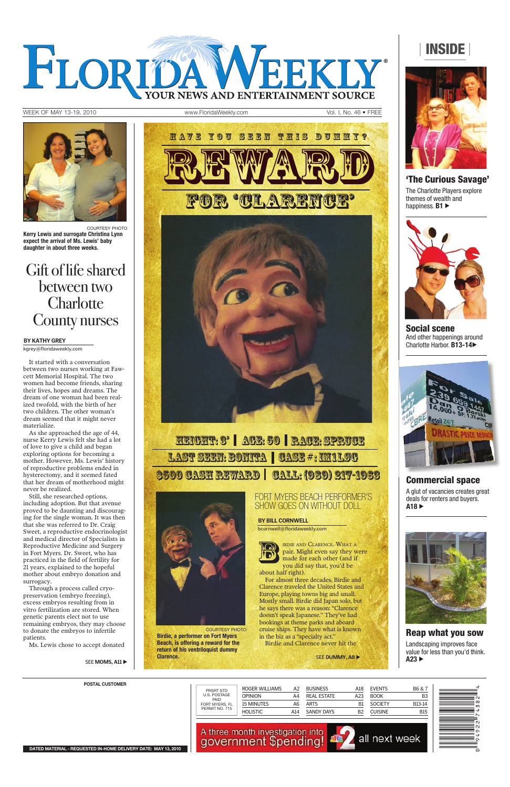# FLORID VEEKIY YOUR NEWS AND ENTERTAINMENT SOURCE

WEEK OF MAY 13-19, 2010 **WWW.FloridaWeekly.com** WEEK OF MAY 13-19, 2010



COURTESY PHOTO **Kerry Lewis and surrogate Christina Lynn expect the arrival of Ms. Lewis' baby daughter in about three weeks.**

## Gift of life shared between two **Charlotte** County nurses

#### **BY KATHY GREY**

kgrey@floridaweekly.com

It started with a conversation between two nurses working at Fawcett Memorial Hospital. The two women had become friends, sharing their lives, hopes and dreams. The dream of one woman had been realized twofold, with the birth of her two children. The other woman's dream seemed that it might never materialize.

As she approached the age of 44, nurse Kerry Lewis felt she had a lot of love to give a child and began exploring options for becoming a mother. However, Ms. Lewis' history of reproductive problems ended in hysterectomy, and it seemed fated that her dream of motherhood might never be realized.

Still, she researched options, including adoption. But that avenue proved to be daunting and discouraging for the single woman. It was then that she was referred to Dr. Craig Sweet, a reproductive endocrinologist and medical director of Specialists in Reproductive Medicine and Surgery in Fort Myers. Dr. Sweet, who has practiced in the field of fertility for 21 years, explained to the hopeful mother about embryo donation and surrogacy.

Through a process called cryopreservation (embryo freezing), excess embryos resulting from in vitro fertilization are stored. When genetic parents elect not to use remaining embryos, they may choose to donate the embryos to infertile patients.

Ms. Lewis chose to accept donated





**HEIGHT: 3' | AGE: 50 | RACE: SPRUCE** LAST SEEN: BONITA | CASE #: IM1LØG \$500 cash reward call: (989) 217-1963



COURTESY PHOTO **Birdie, a performer on Fort Myers Beach, is offering a reward for the return of his ventriloquist dummy Clarence.** 

### FORT MYERS BEACH PERFORMER'S SHOW GOES ON WITHOUT DOLL

#### **BY BILL CORNWELL**

bcornwell@floridaweekly.com



IRDIE AND CLARENCE. WHAT <sup>A</sup> pair. Might even say they were made for each other (and if you did say that, you'd be about half right).

For almost three decades, Birdie and Clarence traveled the United States and Europe, playing towns big and small. Mostly small. Birdie did Japan solo, but he says there was a reason: "Clarence doesn't speak Japanese." They've had bookings at theme parks and aboard cruise ships. They have what is known in the biz as a "specialty act."

Birdie and Clarence never hit the